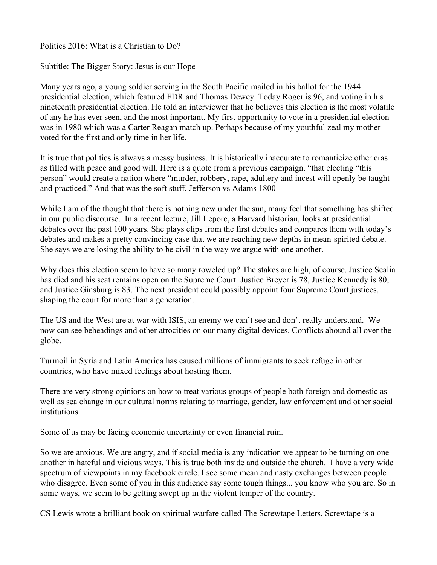Politics 2016: What is a Christian to Do?

Subtitle: The Bigger Story: Jesus is our Hope

Many years ago, a young soldier serving in the South Pacific mailed in his ballot for the 1944 presidential election, which featured FDR and Thomas Dewey. Today Roger is 96, and voting in his nineteenth presidential election. He told an interviewer that he believes this election is the most volatile of any he has ever seen, and the most important. My first opportunity to vote in a presidential election was in 1980 which was a Carter Reagan match up. Perhaps because of my youthful zeal my mother voted for the first and only time in her life.

It is true that politics is always a messy business. It is historically inaccurate to romanticize other eras as filled with peace and good will. Here is a quote from a previous campaign. "that electing "this person" would create a nation where "murder, robbery, rape, adultery and incest will openly be taught and practiced." And that was the soft stuff. Jefferson vs Adams 1800

While I am of the thought that there is nothing new under the sun, many feel that something has shifted in our public discourse. In a recent lecture, Jill Lepore, a Harvard historian, looks at presidential debates over the past 100 years. She plays clips from the first debates and compares them with today's debates and makes a pretty convincing case that we are reaching new depths in mean-spirited debate. She says we are losing the ability to be civil in the way we argue with one another.

Why does this election seem to have so many roweled up? The stakes are high, of course. Justice Scalia has died and his seat remains open on the Supreme Court. Justice Breyer is 78, Justice Kennedy is 80, and Justice Ginsburg is 83. The next president could possibly appoint four Supreme Court justices, shaping the court for more than a generation.

The US and the West are at war with ISIS, an enemy we can't see and don't really understand. We now can see beheadings and other atrocities on our many digital devices. Conflicts abound all over the globe.

Turmoil in Syria and Latin America has caused millions of immigrants to seek refuge in other countries, who have mixed feelings about hosting them.

There are very strong opinions on how to treat various groups of people both foreign and domestic as well as sea change in our cultural norms relating to marriage, gender, law enforcement and other social institutions.

Some of us may be facing economic uncertainty or even financial ruin.

So we are anxious. We are angry, and if social media is any indication we appear to be turning on one another in hateful and vicious ways. This is true both inside and outside the church. I have a very wide spectrum of viewpoints in my facebook circle. I see some mean and nasty exchanges between people who disagree. Even some of you in this audience say some tough things... you know who you are. So in some ways, we seem to be getting swept up in the violent temper of the country.

CS Lewis wrote a brilliant book on spiritual warfare called The Screwtape Letters. Screwtape is a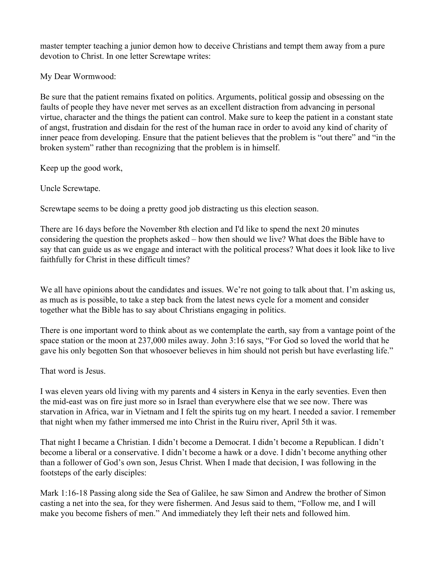master tempter teaching a junior demon how to deceive Christians and tempt them away from a pure devotion to Christ. In one letter Screwtape writes:

My Dear Wormwood:

Be sure that the patient remains fixated on politics. Arguments, political gossip and obsessing on the faults of people they have never met serves as an excellent distraction from advancing in personal virtue, character and the things the patient can control. Make sure to keep the patient in a constant state of angst, frustration and disdain for the rest of the human race in order to avoid any kind of charity of inner peace from developing. Ensure that the patient believes that the problem is "out there" and "in the broken system" rather than recognizing that the problem is in himself.

Keep up the good work,

Uncle Screwtape.

Screwtape seems to be doing a pretty good job distracting us this election season.

There are 16 days before the November 8th election and I'd like to spend the next 20 minutes considering the question the prophets asked – how then should we live? What does the Bible have to say that can guide us as we engage and interact with the political process? What does it look like to live faithfully for Christ in these difficult times?

We all have opinions about the candidates and issues. We're not going to talk about that. I'm asking us, as much as is possible, to take a step back from the latest news cycle for a moment and consider together what the Bible has to say about Christians engaging in politics.

There is one important word to think about as we contemplate the earth, say from a vantage point of the space station or the moon at 237,000 miles away. John 3:16 says, "For God so loved the world that he gave his only begotten Son that whosoever believes in him should not perish but have everlasting life."

That word is Jesus.

I was eleven years old living with my parents and 4 sisters in Kenya in the early seventies. Even then the mid-east was on fire just more so in Israel than everywhere else that we see now. There was starvation in Africa, war in Vietnam and I felt the spirits tug on my heart. I needed a savior. I remember that night when my father immersed me into Christ in the Ruiru river, April 5th it was.

That night I became a Christian. I didn't become a Democrat. I didn't become a Republican. I didn't become a liberal or a conservative. I didn't become a hawk or a dove. I didn't become anything other than a follower of God's own son, Jesus Christ. When I made that decision, I was following in the footsteps of the early disciples:

Mark 1:16-18 Passing along side the Sea of Galilee, he saw Simon and Andrew the brother of Simon casting a net into the sea, for they were fishermen. And Jesus said to them, "Follow me, and I will make you become fishers of men." And immediately they left their nets and followed him.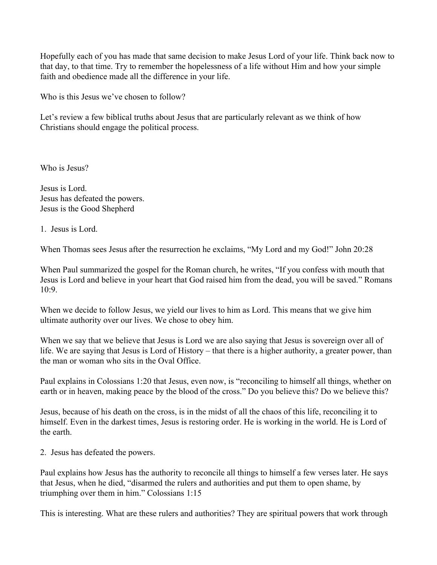Hopefully each of you has made that same decision to make Jesus Lord of your life. Think back now to that day, to that time. Try to remember the hopelessness of a life without Him and how your simple faith and obedience made all the difference in your life.

Who is this Jesus we've chosen to follow?

Let's review a few biblical truths about Jesus that are particularly relevant as we think of how Christians should engage the political process.

Who is Jesus?

Jesus is Lord. Jesus has defeated the powers. Jesus is the Good Shepherd

1. Jesus is Lord.

When Thomas sees Jesus after the resurrection he exclaims, "My Lord and my God!" John 20:28

When Paul summarized the gospel for the Roman church, he writes, "If you confess with mouth that Jesus is Lord and believe in your heart that God raised him from the dead, you will be saved." Romans 10:9.

When we decide to follow Jesus, we yield our lives to him as Lord. This means that we give him ultimate authority over our lives. We chose to obey him.

When we say that we believe that Jesus is Lord we are also saying that Jesus is sovereign over all of life. We are saying that Jesus is Lord of History – that there is a higher authority, a greater power, than the man or woman who sits in the Oval Office.

Paul explains in Colossians 1:20 that Jesus, even now, is "reconciling to himself all things, whether on earth or in heaven, making peace by the blood of the cross." Do you believe this? Do we believe this?

Jesus, because of his death on the cross, is in the midst of all the chaos of this life, reconciling it to himself. Even in the darkest times, Jesus is restoring order. He is working in the world. He is Lord of the earth.

2. Jesus has defeated the powers.

Paul explains how Jesus has the authority to reconcile all things to himself a few verses later. He says that Jesus, when he died, "disarmed the rulers and authorities and put them to open shame, by triumphing over them in him." Colossians 1:15

This is interesting. What are these rulers and authorities? They are spiritual powers that work through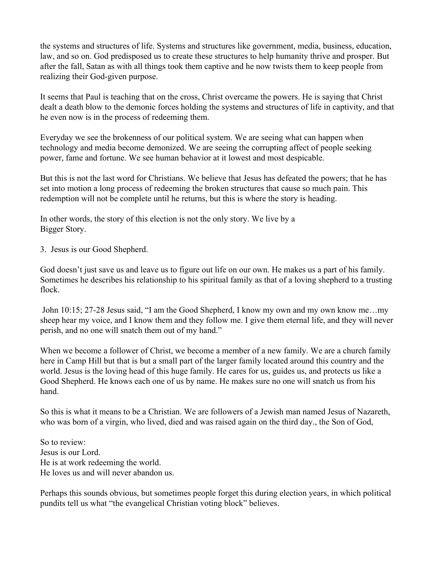the systems and structures of life. Systems and structures like government, media, business, education, law, and so on. God predisposed us to create these structures to help humanity thrive and prosper. But after the fall, Satan as with all things took them captive and he now twists them to keep people from realizing their God-given purpose.

It seems that Paul is teaching that on the cross, Christ overcame the powers. He is saying that Christ dealt a death blow to the demonic forces holding the systems and structures of life in captivity, and that he even now is in the process of redeeming them.

Everyday we see the brokenness of our political system. We are seeing what can happen when technology and media become demonized. We are seeing the corrupting affect of people seeking power, fame and fortune. We see human behavior at it lowest and most despicable.

But this is not the last word for Christians. We believe that Jesus has defeated the powers; that he has set into motion a long process of redeeming the broken structures that cause so much pain. This redemption will not be complete until he returns, but this is where the story is heading.

In other words, the story of this election is not the only story. We live by a Bigger Story.

3. Jesus is our Good Shepherd.

God doesn't just save us and leave us to figure out life on our own. He makes us a part of his family. Sometimes he describes his relationship to his spiritual family as that of a loving shepherd to a trusting flock.

 John 10:15; 27-28 Jesus said, "I am the Good Shepherd, I know my own and my own know me…my sheep hear my voice, and I know them and they follow me. I give them eternal life, and they will never perish, and no one will snatch them out of my hand."

When we become a follower of Christ, we become a member of a new family. We are a church family here in Camp Hill but that is but a small part of the larger family located around this country and the world. Jesus is the loving head of this huge family. He cares for us, guides us, and protects us like a Good Shepherd. He knows each one of us by name. He makes sure no one will snatch us from his hand.

So this is what it means to be a Christian. We are followers of a Jewish man named Jesus of Nazareth, who was born of a virgin, who lived, died and was raised again on the third day., the Son of God,

So to review: Jesus is our Lord. He is at work redeeming the world. He loves us and will never abandon us.

Perhaps this sounds obvious, but sometimes people forget this during election years, in which political pundits tell us what "the evangelical Christian voting block" believes.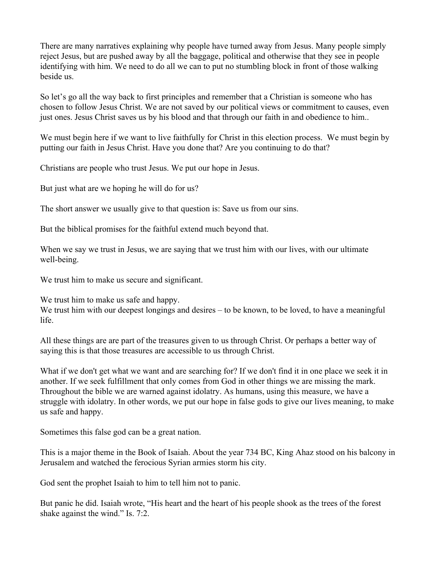There are many narratives explaining why people have turned away from Jesus. Many people simply reject Jesus, but are pushed away by all the baggage, political and otherwise that they see in people identifying with him. We need to do all we can to put no stumbling block in front of those walking beside us.

So let's go all the way back to first principles and remember that a Christian is someone who has chosen to follow Jesus Christ. We are not saved by our political views or commitment to causes, even just ones. Jesus Christ saves us by his blood and that through our faith in and obedience to him..

We must begin here if we want to live faithfully for Christ in this election process. We must begin by putting our faith in Jesus Christ. Have you done that? Are you continuing to do that?

Christians are people who trust Jesus. We put our hope in Jesus.

But just what are we hoping he will do for us?

The short answer we usually give to that question is: Save us from our sins.

But the biblical promises for the faithful extend much beyond that.

When we say we trust in Jesus, we are saying that we trust him with our lives, with our ultimate well-being.

We trust him to make us secure and significant.

We trust him to make us safe and happy.

We trust him with our deepest longings and desires – to be known, to be loved, to have a meaningful life.

All these things are are part of the treasures given to us through Christ. Or perhaps a better way of saying this is that those treasures are accessible to us through Christ.

What if we don't get what we want and are searching for? If we don't find it in one place we seek it in another. If we seek fulfillment that only comes from God in other things we are missing the mark. Throughout the bible we are warned against idolatry. As humans, using this measure, we have a struggle with idolatry. In other words, we put our hope in false gods to give our lives meaning, to make us safe and happy.

Sometimes this false god can be a great nation.

This is a major theme in the Book of Isaiah. About the year 734 BC, King Ahaz stood on his balcony in Jerusalem and watched the ferocious Syrian armies storm his city.

God sent the prophet Isaiah to him to tell him not to panic.

But panic he did. Isaiah wrote, "His heart and the heart of his people shook as the trees of the forest shake against the wind." Is. 7:2.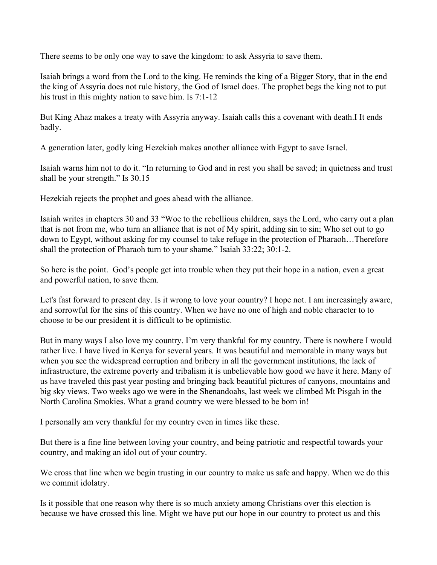There seems to be only one way to save the kingdom: to ask Assyria to save them.

Isaiah brings a word from the Lord to the king. He reminds the king of a Bigger Story, that in the end the king of Assyria does not rule history, the God of Israel does. The prophet begs the king not to put his trust in this mighty nation to save him. Is 7:1-12

But King Ahaz makes a treaty with Assyria anyway. Isaiah calls this a covenant with death.I It ends badly.

A generation later, godly king Hezekiah makes another alliance with Egypt to save Israel.

Isaiah warns him not to do it. "In returning to God and in rest you shall be saved; in quietness and trust shall be your strength." Is 30.15

Hezekiah rejects the prophet and goes ahead with the alliance.

Isaiah writes in chapters 30 and 33 "Woe to the rebellious children, says the Lord, who carry out a plan that is not from me, who turn an alliance that is not of My spirit, adding sin to sin; Who set out to go down to Egypt, without asking for my counsel to take refuge in the protection of Pharaoh…Therefore shall the protection of Pharaoh turn to your shame." Isaiah 33:22; 30:1-2.

So here is the point. God's people get into trouble when they put their hope in a nation, even a great and powerful nation, to save them.

Let's fast forward to present day. Is it wrong to love your country? I hope not. I am increasingly aware, and sorrowful for the sins of this country. When we have no one of high and noble character to to choose to be our president it is difficult to be optimistic.

But in many ways I also love my country. I'm very thankful for my country. There is nowhere I would rather live. I have lived in Kenya for several years. It was beautiful and memorable in many ways but when you see the widespread corruption and bribery in all the government institutions, the lack of infrastructure, the extreme poverty and tribalism it is unbelievable how good we have it here. Many of us have traveled this past year posting and bringing back beautiful pictures of canyons, mountains and big sky views. Two weeks ago we were in the Shenandoahs, last week we climbed Mt Pisgah in the North Carolina Smokies. What a grand country we were blessed to be born in!

I personally am very thankful for my country even in times like these.

But there is a fine line between loving your country, and being patriotic and respectful towards your country, and making an idol out of your country.

We cross that line when we begin trusting in our country to make us safe and happy. When we do this we commit idolatry.

Is it possible that one reason why there is so much anxiety among Christians over this election is because we have crossed this line. Might we have put our hope in our country to protect us and this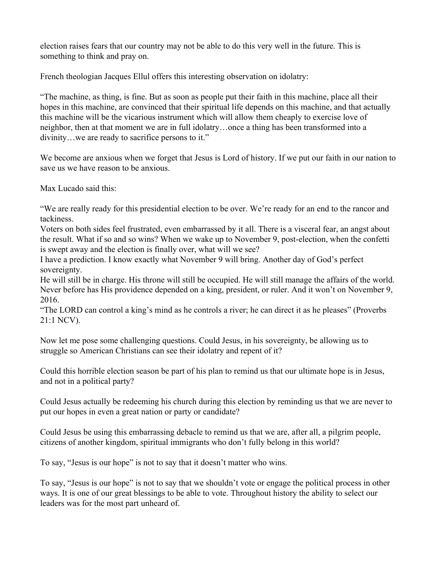election raises fears that our country may not be able to do this very well in the future. This is something to think and pray on.

French theologian Jacques Ellul offers this interesting observation on idolatry:

"The machine, as thing, is fine. But as soon as people put their faith in this machine, place all their hopes in this machine, are convinced that their spiritual life depends on this machine, and that actually this machine will be the vicarious instrument which will allow them cheaply to exercise love of neighbor, then at that moment we are in full idolatry…once a thing has been transformed into a divinity…we are ready to sacrifice persons to it."

We become are anxious when we forget that Jesus is Lord of history. If we put our faith in our nation to save us we have reason to be anxious.

Max Lucado said this:

"We are really ready for this presidential election to be over. We're ready for an end to the rancor and tackiness.

Voters on both sides feel frustrated, even embarrassed by it all. There is a visceral fear, an angst about the result. What if so and so wins? When we wake up to November 9, post-election, when the confetti is swept away and the election is finally over, what will we see?

I have a prediction. I know exactly what November 9 will bring. Another day of God's perfect sovereignty.

He will still be in charge. His throne will still be occupied. He will still manage the affairs of the world. Never before has His providence depended on a king, president, or ruler. And it won't on November 9, 2016.

"The LORD can control a king's mind as he controls a river; he can direct it as he pleases" (Proverbs 21:1 NCV).

Now let me pose some challenging questions. Could Jesus, in his sovereignty, be allowing us to struggle so American Christians can see their idolatry and repent of it?

Could this horrible election season be part of his plan to remind us that our ultimate hope is in Jesus, and not in a political party?

Could Jesus actually be redeeming his church during this election by reminding us that we are never to put our hopes in even a great nation or party or candidate?

Could Jesus be using this embarrassing debacle to remind us that we are, after all, a pilgrim people, citizens of another kingdom, spiritual immigrants who don't fully belong in this world?

To say, "Jesus is our hope" is not to say that it doesn't matter who wins.

To say, "Jesus is our hope" is not to say that we shouldn't vote or engage the political process in other ways. It is one of our great blessings to be able to vote. Throughout history the ability to select our leaders was for the most part unheard of.